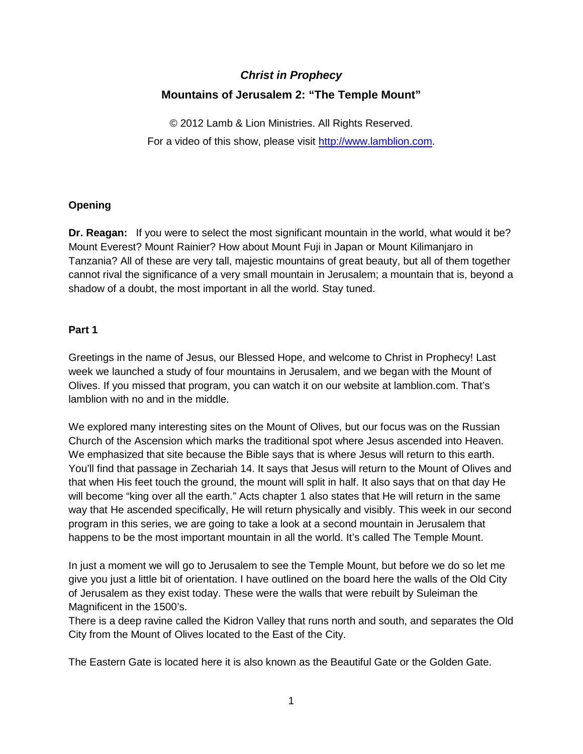# *Christ in Prophecy* **Mountains of Jerusalem 2: "The Temple Mount"**

© 2012 Lamb & Lion Ministries. All Rights Reserved. For a video of this show, please visit [http://www.lamblion.com.](http://www.lamblion.com/)

# **Opening**

**Dr. Reagan:** If you were to select the most significant mountain in the world, what would it be? Mount Everest? Mount Rainier? How about Mount Fuji in Japan or Mount Kilimanjaro in Tanzania? All of these are very tall, majestic mountains of great beauty, but all of them together cannot rival the significance of a very small mountain in Jerusalem; a mountain that is, beyond a shadow of a doubt, the most important in all the world. Stay tuned.

# **Part 1**

Greetings in the name of Jesus, our Blessed Hope, and welcome to Christ in Prophecy! Last week we launched a study of four mountains in Jerusalem, and we began with the Mount of Olives. If you missed that program, you can watch it on our website at lamblion.com. That's lamblion with no and in the middle.

We explored many interesting sites on the Mount of Olives, but our focus was on the Russian Church of the Ascension which marks the traditional spot where Jesus ascended into Heaven. We emphasized that site because the Bible says that is where Jesus will return to this earth. You'll find that passage in Zechariah 14. It says that Jesus will return to the Mount of Olives and that when His feet touch the ground, the mount will split in half. It also says that on that day He will become "king over all the earth." Acts chapter 1 also states that He will return in the same way that He ascended specifically, He will return physically and visibly. This week in our second program in this series, we are going to take a look at a second mountain in Jerusalem that happens to be the most important mountain in all the world. It's called The Temple Mount.

In just a moment we will go to Jerusalem to see the Temple Mount, but before we do so let me give you just a little bit of orientation. I have outlined on the board here the walls of the Old City of Jerusalem as they exist today. These were the walls that were rebuilt by Suleiman the Magnificent in the 1500's.

There is a deep ravine called the Kidron Valley that runs north and south, and separates the Old City from the Mount of Olives located to the East of the City.

The Eastern Gate is located here it is also known as the Beautiful Gate or the Golden Gate.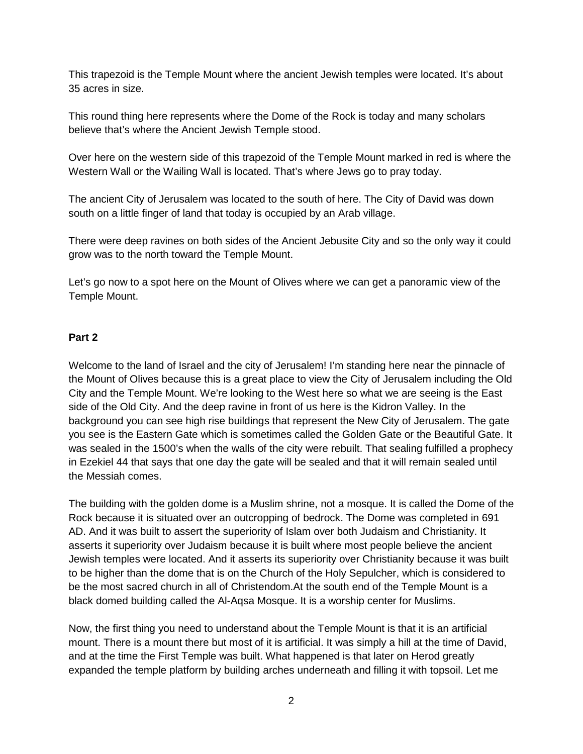This trapezoid is the Temple Mount where the ancient Jewish temples were located. It's about 35 acres in size.

This round thing here represents where the Dome of the Rock is today and many scholars believe that's where the Ancient Jewish Temple stood.

Over here on the western side of this trapezoid of the Temple Mount marked in red is where the Western Wall or the Wailing Wall is located. That's where Jews go to pray today.

The ancient City of Jerusalem was located to the south of here. The City of David was down south on a little finger of land that today is occupied by an Arab village.

There were deep ravines on both sides of the Ancient Jebusite City and so the only way it could grow was to the north toward the Temple Mount.

Let's go now to a spot here on the Mount of Olives where we can get a panoramic view of the Temple Mount.

## **Part 2**

Welcome to the land of Israel and the city of Jerusalem! I'm standing here near the pinnacle of the Mount of Olives because this is a great place to view the City of Jerusalem including the Old City and the Temple Mount. We're looking to the West here so what we are seeing is the East side of the Old City. And the deep ravine in front of us here is the Kidron Valley. In the background you can see high rise buildings that represent the New City of Jerusalem. The gate you see is the Eastern Gate which is sometimes called the Golden Gate or the Beautiful Gate. It was sealed in the 1500's when the walls of the city were rebuilt. That sealing fulfilled a prophecy in Ezekiel 44 that says that one day the gate will be sealed and that it will remain sealed until the Messiah comes.

The building with the golden dome is a Muslim shrine, not a mosque. It is called the Dome of the Rock because it is situated over an outcropping of bedrock. The Dome was completed in 691 AD. And it was built to assert the superiority of Islam over both Judaism and Christianity. It asserts it superiority over Judaism because it is built where most people believe the ancient Jewish temples were located. And it asserts its superiority over Christianity because it was built to be higher than the dome that is on the Church of the Holy Sepulcher, which is considered to be the most sacred church in all of Christendom.At the south end of the Temple Mount is a black domed building called the Al-Aqsa Mosque. It is a worship center for Muslims.

Now, the first thing you need to understand about the Temple Mount is that it is an artificial mount. There is a mount there but most of it is artificial. It was simply a hill at the time of David, and at the time the First Temple was built. What happened is that later on Herod greatly expanded the temple platform by building arches underneath and filling it with topsoil. Let me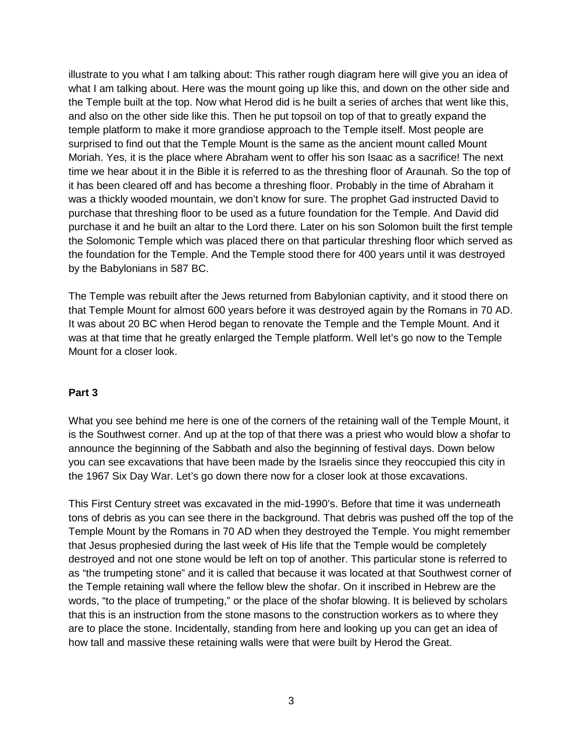illustrate to you what I am talking about: This rather rough diagram here will give you an idea of what I am talking about. Here was the mount going up like this, and down on the other side and the Temple built at the top. Now what Herod did is he built a series of arches that went like this, and also on the other side like this. Then he put topsoil on top of that to greatly expand the temple platform to make it more grandiose approach to the Temple itself. Most people are surprised to find out that the Temple Mount is the same as the ancient mount called Mount Moriah. Yes, it is the place where Abraham went to offer his son Isaac as a sacrifice! The next time we hear about it in the Bible it is referred to as the threshing floor of Araunah. So the top of it has been cleared off and has become a threshing floor. Probably in the time of Abraham it was a thickly wooded mountain, we don't know for sure. The prophet Gad instructed David to purchase that threshing floor to be used as a future foundation for the Temple. And David did purchase it and he built an altar to the Lord there. Later on his son Solomon built the first temple the Solomonic Temple which was placed there on that particular threshing floor which served as the foundation for the Temple. And the Temple stood there for 400 years until it was destroyed by the Babylonians in 587 BC.

The Temple was rebuilt after the Jews returned from Babylonian captivity, and it stood there on that Temple Mount for almost 600 years before it was destroyed again by the Romans in 70 AD. It was about 20 BC when Herod began to renovate the Temple and the Temple Mount. And it was at that time that he greatly enlarged the Temple platform. Well let's go now to the Temple Mount for a closer look.

#### **Part 3**

What you see behind me here is one of the corners of the retaining wall of the Temple Mount, it is the Southwest corner. And up at the top of that there was a priest who would blow a shofar to announce the beginning of the Sabbath and also the beginning of festival days. Down below you can see excavations that have been made by the Israelis since they reoccupied this city in the 1967 Six Day War. Let's go down there now for a closer look at those excavations.

This First Century street was excavated in the mid-1990's. Before that time it was underneath tons of debris as you can see there in the background. That debris was pushed off the top of the Temple Mount by the Romans in 70 AD when they destroyed the Temple. You might remember that Jesus prophesied during the last week of His life that the Temple would be completely destroyed and not one stone would be left on top of another. This particular stone is referred to as "the trumpeting stone" and it is called that because it was located at that Southwest corner of the Temple retaining wall where the fellow blew the shofar. On it inscribed in Hebrew are the words, "to the place of trumpeting," or the place of the shofar blowing. It is believed by scholars that this is an instruction from the stone masons to the construction workers as to where they are to place the stone. Incidentally, standing from here and looking up you can get an idea of how tall and massive these retaining walls were that were built by Herod the Great.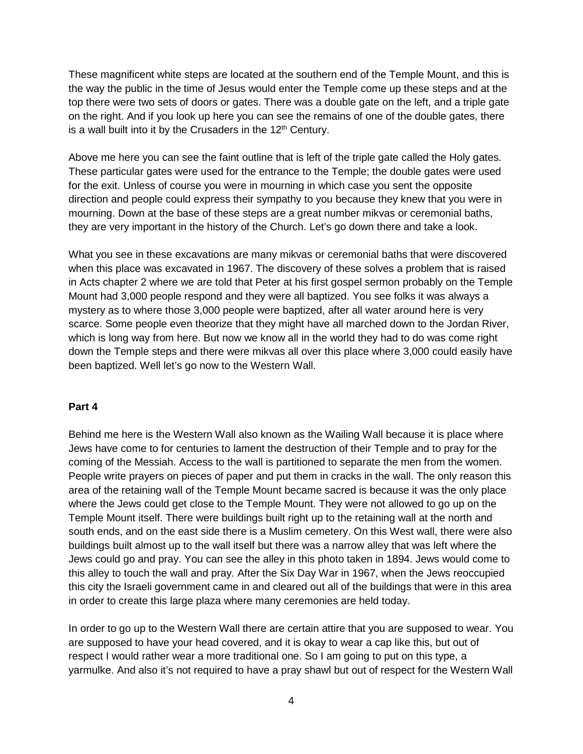These magnificent white steps are located at the southern end of the Temple Mount, and this is the way the public in the time of Jesus would enter the Temple come up these steps and at the top there were two sets of doors or gates. There was a double gate on the left, and a triple gate on the right. And if you look up here you can see the remains of one of the double gates, there is a wall built into it by the Crusaders in the  $12<sup>th</sup>$  Century.

Above me here you can see the faint outline that is left of the triple gate called the Holy gates. These particular gates were used for the entrance to the Temple; the double gates were used for the exit. Unless of course you were in mourning in which case you sent the opposite direction and people could express their sympathy to you because they knew that you were in mourning. Down at the base of these steps are a great number mikvas or ceremonial baths, they are very important in the history of the Church. Let's go down there and take a look.

What you see in these excavations are many mikvas or ceremonial baths that were discovered when this place was excavated in 1967. The discovery of these solves a problem that is raised in Acts chapter 2 where we are told that Peter at his first gospel sermon probably on the Temple Mount had 3,000 people respond and they were all baptized. You see folks it was always a mystery as to where those 3,000 people were baptized, after all water around here is very scarce. Some people even theorize that they might have all marched down to the Jordan River, which is long way from here. But now we know all in the world they had to do was come right down the Temple steps and there were mikvas all over this place where 3,000 could easily have been baptized. Well let's go now to the Western Wall.

#### **Part 4**

Behind me here is the Western Wall also known as the Wailing Wall because it is place where Jews have come to for centuries to lament the destruction of their Temple and to pray for the coming of the Messiah. Access to the wall is partitioned to separate the men from the women. People write prayers on pieces of paper and put them in cracks in the wall. The only reason this area of the retaining wall of the Temple Mount became sacred is because it was the only place where the Jews could get close to the Temple Mount. They were not allowed to go up on the Temple Mount itself. There were buildings built right up to the retaining wall at the north and south ends, and on the east side there is a Muslim cemetery. On this West wall, there were also buildings built almost up to the wall itself but there was a narrow alley that was left where the Jews could go and pray. You can see the alley in this photo taken in 1894. Jews would come to this alley to touch the wall and pray. After the Six Day War in 1967, when the Jews reoccupied this city the Israeli government came in and cleared out all of the buildings that were in this area in order to create this large plaza where many ceremonies are held today.

In order to go up to the Western Wall there are certain attire that you are supposed to wear. You are supposed to have your head covered, and it is okay to wear a cap like this, but out of respect I would rather wear a more traditional one. So I am going to put on this type, a yarmulke. And also it's not required to have a pray shawl but out of respect for the Western Wall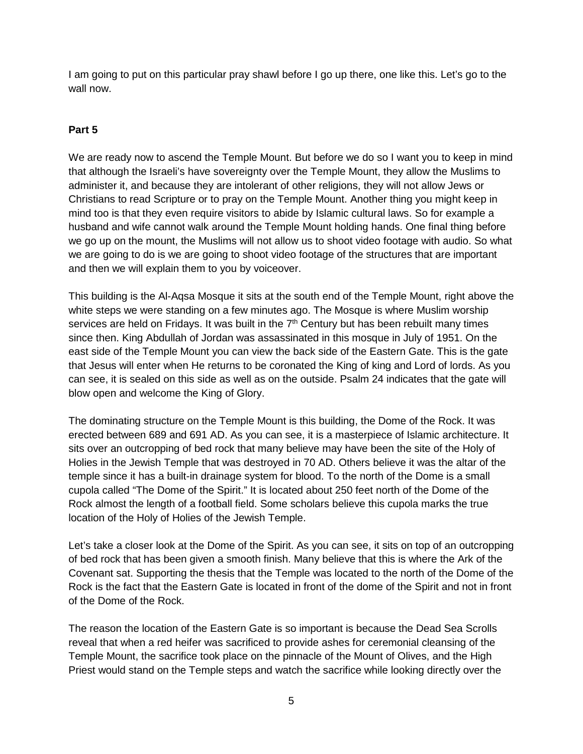I am going to put on this particular pray shawl before I go up there, one like this. Let's go to the wall now.

## **Part 5**

We are ready now to ascend the Temple Mount. But before we do so I want you to keep in mind that although the Israeli's have sovereignty over the Temple Mount, they allow the Muslims to administer it, and because they are intolerant of other religions, they will not allow Jews or Christians to read Scripture or to pray on the Temple Mount. Another thing you might keep in mind too is that they even require visitors to abide by Islamic cultural laws. So for example a husband and wife cannot walk around the Temple Mount holding hands. One final thing before we go up on the mount, the Muslims will not allow us to shoot video footage with audio. So what we are going to do is we are going to shoot video footage of the structures that are important and then we will explain them to you by voiceover.

This building is the Al-Aqsa Mosque it sits at the south end of the Temple Mount, right above the white steps we were standing on a few minutes ago. The Mosque is where Muslim worship services are held on Fridays. It was built in the  $7<sup>th</sup>$  Century but has been rebuilt many times since then. King Abdullah of Jordan was assassinated in this mosque in July of 1951. On the east side of the Temple Mount you can view the back side of the Eastern Gate. This is the gate that Jesus will enter when He returns to be coronated the King of king and Lord of lords. As you can see, it is sealed on this side as well as on the outside. Psalm 24 indicates that the gate will blow open and welcome the King of Glory.

The dominating structure on the Temple Mount is this building, the Dome of the Rock. It was erected between 689 and 691 AD. As you can see, it is a masterpiece of Islamic architecture. It sits over an outcropping of bed rock that many believe may have been the site of the Holy of Holies in the Jewish Temple that was destroyed in 70 AD. Others believe it was the altar of the temple since it has a built-in drainage system for blood. To the north of the Dome is a small cupola called "The Dome of the Spirit." It is located about 250 feet north of the Dome of the Rock almost the length of a football field. Some scholars believe this cupola marks the true location of the Holy of Holies of the Jewish Temple.

Let's take a closer look at the Dome of the Spirit. As you can see, it sits on top of an outcropping of bed rock that has been given a smooth finish. Many believe that this is where the Ark of the Covenant sat. Supporting the thesis that the Temple was located to the north of the Dome of the Rock is the fact that the Eastern Gate is located in front of the dome of the Spirit and not in front of the Dome of the Rock.

The reason the location of the Eastern Gate is so important is because the Dead Sea Scrolls reveal that when a red heifer was sacrificed to provide ashes for ceremonial cleansing of the Temple Mount, the sacrifice took place on the pinnacle of the Mount of Olives, and the High Priest would stand on the Temple steps and watch the sacrifice while looking directly over the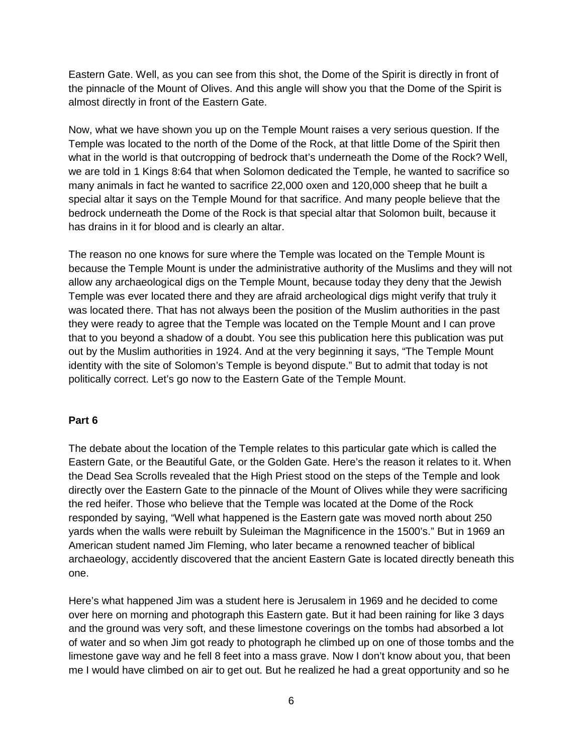Eastern Gate. Well, as you can see from this shot, the Dome of the Spirit is directly in front of the pinnacle of the Mount of Olives. And this angle will show you that the Dome of the Spirit is almost directly in front of the Eastern Gate.

Now, what we have shown you up on the Temple Mount raises a very serious question. If the Temple was located to the north of the Dome of the Rock, at that little Dome of the Spirit then what in the world is that outcropping of bedrock that's underneath the Dome of the Rock? Well, we are told in 1 Kings 8:64 that when Solomon dedicated the Temple, he wanted to sacrifice so many animals in fact he wanted to sacrifice 22,000 oxen and 120,000 sheep that he built a special altar it says on the Temple Mound for that sacrifice. And many people believe that the bedrock underneath the Dome of the Rock is that special altar that Solomon built, because it has drains in it for blood and is clearly an altar.

The reason no one knows for sure where the Temple was located on the Temple Mount is because the Temple Mount is under the administrative authority of the Muslims and they will not allow any archaeological digs on the Temple Mount, because today they deny that the Jewish Temple was ever located there and they are afraid archeological digs might verify that truly it was located there. That has not always been the position of the Muslim authorities in the past they were ready to agree that the Temple was located on the Temple Mount and I can prove that to you beyond a shadow of a doubt. You see this publication here this publication was put out by the Muslim authorities in 1924. And at the very beginning it says, "The Temple Mount identity with the site of Solomon's Temple is beyond dispute." But to admit that today is not politically correct. Let's go now to the Eastern Gate of the Temple Mount.

#### **Part 6**

The debate about the location of the Temple relates to this particular gate which is called the Eastern Gate, or the Beautiful Gate, or the Golden Gate. Here's the reason it relates to it. When the Dead Sea Scrolls revealed that the High Priest stood on the steps of the Temple and look directly over the Eastern Gate to the pinnacle of the Mount of Olives while they were sacrificing the red heifer. Those who believe that the Temple was located at the Dome of the Rock responded by saying, "Well what happened is the Eastern gate was moved north about 250 yards when the walls were rebuilt by Suleiman the Magnificence in the 1500's." But in 1969 an American student named Jim Fleming, who later became a renowned teacher of biblical archaeology, accidently discovered that the ancient Eastern Gate is located directly beneath this one.

Here's what happened Jim was a student here is Jerusalem in 1969 and he decided to come over here on morning and photograph this Eastern gate. But it had been raining for like 3 days and the ground was very soft, and these limestone coverings on the tombs had absorbed a lot of water and so when Jim got ready to photograph he climbed up on one of those tombs and the limestone gave way and he fell 8 feet into a mass grave. Now I don't know about you, that been me I would have climbed on air to get out. But he realized he had a great opportunity and so he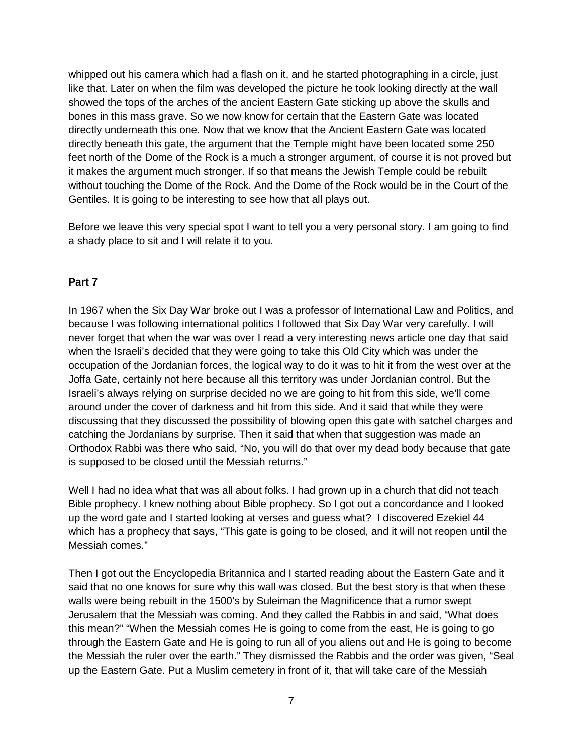whipped out his camera which had a flash on it, and he started photographing in a circle, just like that. Later on when the film was developed the picture he took looking directly at the wall showed the tops of the arches of the ancient Eastern Gate sticking up above the skulls and bones in this mass grave. So we now know for certain that the Eastern Gate was located directly underneath this one. Now that we know that the Ancient Eastern Gate was located directly beneath this gate, the argument that the Temple might have been located some 250 feet north of the Dome of the Rock is a much a stronger argument, of course it is not proved but it makes the argument much stronger. If so that means the Jewish Temple could be rebuilt without touching the Dome of the Rock. And the Dome of the Rock would be in the Court of the Gentiles. It is going to be interesting to see how that all plays out.

Before we leave this very special spot I want to tell you a very personal story. I am going to find a shady place to sit and I will relate it to you.

#### **Part 7**

In 1967 when the Six Day War broke out I was a professor of International Law and Politics, and because I was following international politics I followed that Six Day War very carefully. I will never forget that when the war was over I read a very interesting news article one day that said when the Israeli's decided that they were going to take this Old City which was under the occupation of the Jordanian forces, the logical way to do it was to hit it from the west over at the Joffa Gate, certainly not here because all this territory was under Jordanian control. But the Israeli's always relying on surprise decided no we are going to hit from this side, we'll come around under the cover of darkness and hit from this side. And it said that while they were discussing that they discussed the possibility of blowing open this gate with satchel charges and catching the Jordanians by surprise. Then it said that when that suggestion was made an Orthodox Rabbi was there who said, "No, you will do that over my dead body because that gate is supposed to be closed until the Messiah returns."

Well I had no idea what that was all about folks. I had grown up in a church that did not teach Bible prophecy. I knew nothing about Bible prophecy. So I got out a concordance and I looked up the word gate and I started looking at verses and guess what? I discovered Ezekiel 44 which has a prophecy that says, "This gate is going to be closed, and it will not reopen until the Messiah comes."

Then I got out the Encyclopedia Britannica and I started reading about the Eastern Gate and it said that no one knows for sure why this wall was closed. But the best story is that when these walls were being rebuilt in the 1500's by Suleiman the Magnificence that a rumor swept Jerusalem that the Messiah was coming. And they called the Rabbis in and said, "What does this mean?" "When the Messiah comes He is going to come from the east, He is going to go through the Eastern Gate and He is going to run all of you aliens out and He is going to become the Messiah the ruler over the earth." They dismissed the Rabbis and the order was given, "Seal up the Eastern Gate. Put a Muslim cemetery in front of it, that will take care of the Messiah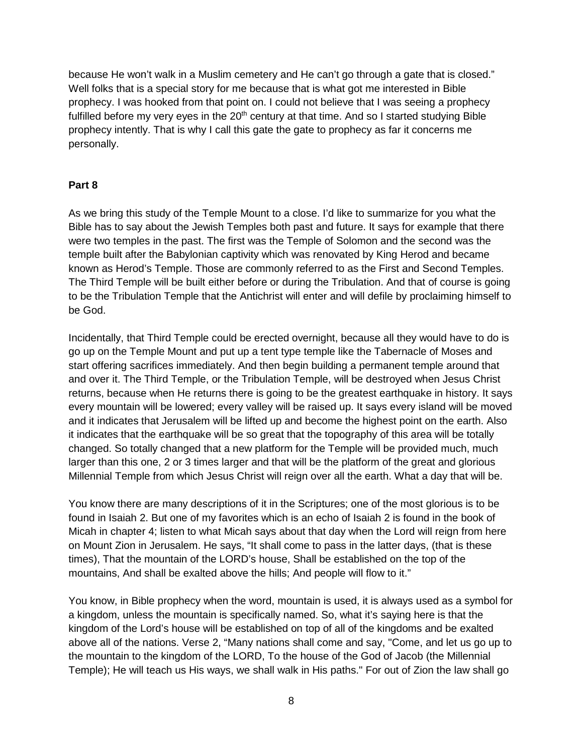because He won't walk in a Muslim cemetery and He can't go through a gate that is closed." Well folks that is a special story for me because that is what got me interested in Bible prophecy. I was hooked from that point on. I could not believe that I was seeing a prophecy fulfilled before my very eyes in the  $20<sup>th</sup>$  century at that time. And so I started studying Bible prophecy intently. That is why I call this gate the gate to prophecy as far it concerns me personally.

#### **Part 8**

As we bring this study of the Temple Mount to a close. I'd like to summarize for you what the Bible has to say about the Jewish Temples both past and future. It says for example that there were two temples in the past. The first was the Temple of Solomon and the second was the temple built after the Babylonian captivity which was renovated by King Herod and became known as Herod's Temple. Those are commonly referred to as the First and Second Temples. The Third Temple will be built either before or during the Tribulation. And that of course is going to be the Tribulation Temple that the Antichrist will enter and will defile by proclaiming himself to be God.

Incidentally, that Third Temple could be erected overnight, because all they would have to do is go up on the Temple Mount and put up a tent type temple like the Tabernacle of Moses and start offering sacrifices immediately. And then begin building a permanent temple around that and over it. The Third Temple, or the Tribulation Temple, will be destroyed when Jesus Christ returns, because when He returns there is going to be the greatest earthquake in history. It says every mountain will be lowered; every valley will be raised up. It says every island will be moved and it indicates that Jerusalem will be lifted up and become the highest point on the earth. Also it indicates that the earthquake will be so great that the topography of this area will be totally changed. So totally changed that a new platform for the Temple will be provided much, much larger than this one, 2 or 3 times larger and that will be the platform of the great and glorious Millennial Temple from which Jesus Christ will reign over all the earth. What a day that will be.

You know there are many descriptions of it in the Scriptures; one of the most glorious is to be found in Isaiah 2. But one of my favorites which is an echo of Isaiah 2 is found in the book of Micah in chapter 4; listen to what Micah says about that day when the Lord will reign from here on Mount Zion in Jerusalem. He says, "It shall come to pass in the latter days, (that is these times), That the mountain of the LORD's house, Shall be established on the top of the mountains, And shall be exalted above the hills; And people will flow to it."

You know, in Bible prophecy when the word, mountain is used, it is always used as a symbol for a kingdom, unless the mountain is specifically named. So, what it's saying here is that the kingdom of the Lord's house will be established on top of all of the kingdoms and be exalted above all of the nations. Verse 2, "Many nations shall come and say, "Come, and let us go up to the mountain to the kingdom of the LORD, To the house of the God of Jacob (the Millennial Temple); He will teach us His ways, we shall walk in His paths." For out of Zion the law shall go